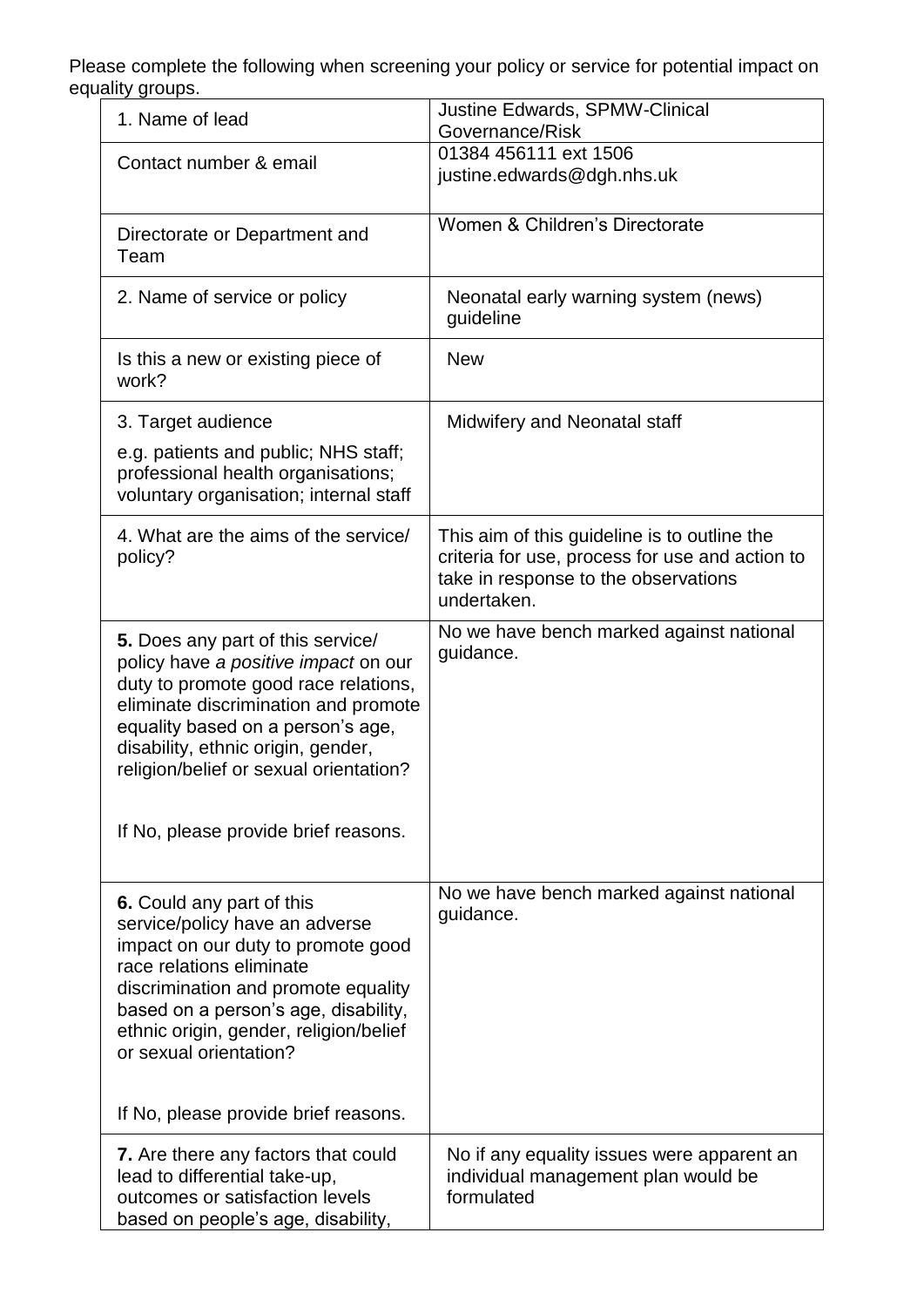Please complete the following when screening your policy or service for potential impact on equality groups.

| 1. Name of lead                                                                                                                                                                                                                                                                  | <b>Justine Edwards, SPMW-Clinical</b><br>Governance/Risk                                                                                               |
|----------------------------------------------------------------------------------------------------------------------------------------------------------------------------------------------------------------------------------------------------------------------------------|--------------------------------------------------------------------------------------------------------------------------------------------------------|
| Contact number & email                                                                                                                                                                                                                                                           | 01384 456111 ext 1506<br>justine.edwards@dgh.nhs.uk                                                                                                    |
| Directorate or Department and<br>Team                                                                                                                                                                                                                                            | Women & Children's Directorate                                                                                                                         |
| 2. Name of service or policy                                                                                                                                                                                                                                                     | Neonatal early warning system (news)<br>guideline                                                                                                      |
| Is this a new or existing piece of<br>work?                                                                                                                                                                                                                                      | <b>New</b>                                                                                                                                             |
| 3. Target audience                                                                                                                                                                                                                                                               | Midwifery and Neonatal staff                                                                                                                           |
| e.g. patients and public; NHS staff;<br>professional health organisations;<br>voluntary organisation; internal staff                                                                                                                                                             |                                                                                                                                                        |
| 4. What are the aims of the service/<br>policy?                                                                                                                                                                                                                                  | This aim of this guideline is to outline the<br>criteria for use, process for use and action to<br>take in response to the observations<br>undertaken. |
| 5. Does any part of this service/<br>policy have a positive impact on our<br>duty to promote good race relations,<br>eliminate discrimination and promote<br>equality based on a person's age,<br>disability, ethnic origin, gender,<br>religion/belief or sexual orientation?   | No we have bench marked against national<br>guidance.                                                                                                  |
| If No, please provide brief reasons.                                                                                                                                                                                                                                             |                                                                                                                                                        |
| 6. Could any part of this<br>service/policy have an adverse<br>impact on our duty to promote good<br>race relations eliminate<br>discrimination and promote equality<br>based on a person's age, disability,<br>ethnic origin, gender, religion/belief<br>or sexual orientation? | No we have bench marked against national<br>guidance.                                                                                                  |
| If No, please provide brief reasons.                                                                                                                                                                                                                                             |                                                                                                                                                        |
| 7. Are there any factors that could<br>lead to differential take-up,<br>outcomes or satisfaction levels<br>based on people's age, disability,                                                                                                                                    | No if any equality issues were apparent an<br>individual management plan would be<br>formulated                                                        |